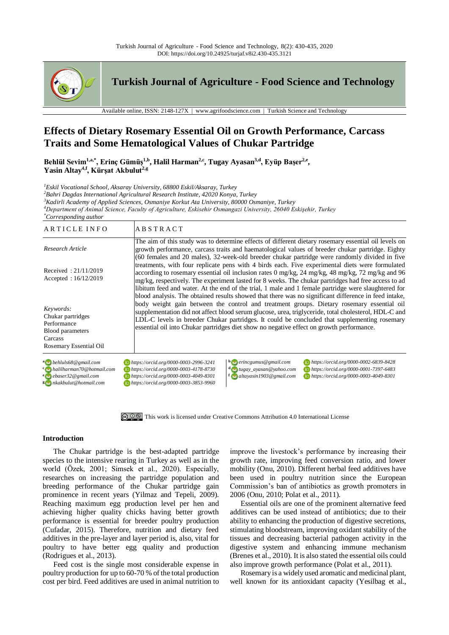

**Turkish Journal of Agriculture - Food Science and Technology**

Available online, ISSN: 2148-127X | www.agrifoodscience.com | Turkish Science and Technology

# **Effects of Dietary Rosemary Essential Oil on Growth Performance, Carcass Traits and Some Hematological Values of Chukar Partridge**

**Behlül Sevim1,a,\*, Erinç Gümüş1,b, Halil Harman2,c, Tugay Ayasan3,d, Eyüp Başer2,e , Yasin Altay4,f, Kürşat Akbulut2,g**

*<sup>1</sup>Eskil Vocational School, Aksaray University, 68800 Eskil/Aksaray, Turkey*

*<sup>2</sup>Bahri Dagdas International Agricultural Research Institute, 42020 Konya, Turkey*

*<sup>3</sup>Kadirli Academy of Applied Sciences, Osmaniye Korkut Ata University, 80000 Osmaniye, Turkey*

*<sup>4</sup>Department of Animal Science, Faculty of Agriculture, Eskisehir Osmangazi University, 26040 Eskişehir, Turkey*

*\*Corresponding author*

| ARTICLE INFO                                                                                                         | <b>ABSTRACT</b>                                                                                                                                                                                                                                                                                                                                                                                                                                                                                       |  |  |  |  |  |
|----------------------------------------------------------------------------------------------------------------------|-------------------------------------------------------------------------------------------------------------------------------------------------------------------------------------------------------------------------------------------------------------------------------------------------------------------------------------------------------------------------------------------------------------------------------------------------------------------------------------------------------|--|--|--|--|--|
| Research Article                                                                                                     | The aim of this study was to determine effects of different dietary rosemary essential oil levels on<br>growth performance, carcass traits and haematological values of breeder chukar partridge. Eighty<br>(60 females and 20 males), 32-week-old breeder chukar partridge were randomly divided in five                                                                                                                                                                                             |  |  |  |  |  |
| Received: $21/11/2019$<br>Accepted: $16/12/2019$                                                                     | treatments, with four replicate pens with 4 birds each. Five experimental diets were formulated<br>according to rosemary essential oil inclusion rates $0 \text{ mg/kg}$ , $24 \text{ mg/kg}$ , $48 \text{ mg/kg}$ , $72 \text{ mg/kg}$ and $96$<br>mg/kg, respectively. The experiment lasted for 8 weeks. The chukar partridges had free access to ad<br>libitum feed and water. At the end of the trial, 1 male and 1 female partridge were slaughtered for                                        |  |  |  |  |  |
| Keywords:<br>Chukar partridges<br>Performance<br>Blood parameters<br>Carcass<br>Rosemary Essential Oil               | blood analysis. The obtained results showed that there was no significant difference in feed intake,<br>body weight gain between the control and treatment groups. Dietary rosemary essential oil<br>supplementation did not affect blood serum glucose, urea, triglyceride, total cholesterol, HDL-C and<br>LDL-C levels in breeder Chukar partridges. It could be concluded that supplementing rosemary<br>essential oil into Chukar partridges diet show no negative effect on growth performance. |  |  |  |  |  |
| $a \rightarrow$ behluls 68 $\omega$ gmail.com<br>com halilharman70@hotmail.com<br>$e_{\text{2}}$ ebaser32@ gmail.com | $\mathbf{b}$ erincgumus@gmail.com<br>https://orcid.org/0000-0002-6839-8428<br>1 https://orcid.org/0000-0003-2996-3241<br><b>b</b> https://orcid.org/0000-0003-4178-8730<br>https://orcid.org/0000-0001-7397-6483<br>$\frac{d}{dx}$ tugay_ayasan@yahoo.com<br>10 https://orcid.org/0000-0003-4049-8301<br>$f_{\odot}$ altayasin1903@gmail.com<br>10 https://orcid.org/0000-0003-4049-8301                                                                                                              |  |  |  |  |  |

[This work is licensed under Creative Commons Attribution 4.0 International License](http://creativecommons.org/licenses/by-nc/4.0/)

# **Introduction**

The Chukar partridge is the best-adapted partridge species to the intensive rearing in Turkey as well as in the world (Özek, 2001; Simsek et al., 2020). Especially, researches on increasing the partridge population and breeding performance of the Chukar partridge gain prominence in recent years (Yilmaz and Tepeli, 2009). Reaching maximum egg production level per hen and achieving higher quality chicks having better growth performance is essential for breeder poultry production (Cufadar, 2015). Therefore, nutrition and dietary feed additives in the pre-layer and layer period is, also, vital for poultry to have better egg quality and production (Rodrigues et al., 2013).

**<sup>g</sup>** *nkakbulut@hotmail.com https://orcid.org/0000-0003-3853-9960*

Feed cost is the single most considerable expense in poultry production for up to 60-70 % of the total production cost per bird. Feed additives are used in animal nutrition to improve the livestock's performance by increasing their growth rate, improving feed conversion ratio, and lower mobility (Onu, 2010). Different herbal feed additives have been used in poultry nutrition since the European Commission's ban of antibiotics as growth promoters in 2006 (Onu, 2010; Polat et al., 2011).

Essential oils are one of the prominent alternative feed additives can be used instead of antibiotics; due to their ability to enhancing the production of digestive secretions, stimulating bloodstream, improving oxidant stability of the tissues and decreasing bacterial pathogen activity in the digestive system and enhancing immune mechanism (Brenes et al., 2010). It is also stated the essential oils could also improve growth performance (Polat et al., 2011).

Rosemary is a widely used aromatic and medicinal plant, well known for its antioxidant capacity (Yesilbag et al.,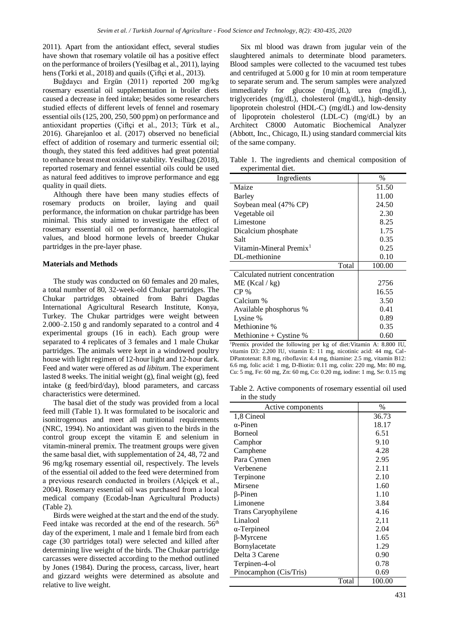2011). Apart from the antioxidant effect, several studies have shown that rosemary volatile oil has a positive effect on the performance of broilers (Yesilbag et al., 2011), laying hens (Torki et al., 2018) and quails (Ciftçi et al., 2013).

Buğdaycı and Ergün (2011) reported 200 mg/kg rosemary essential oil supplementation in broiler diets caused a decrease in feed intake; besides some researchers studied effects of different levels of fennel and rosemary essential oils (125, 200, 250, 500 ppm) on performance and antioxidant properties (Çiftçi et al., 2013; Türk et al., 2016). Gharejanloo et al. (2017) observed no beneficial effect of addition of rosemary and turmeric essential oil; though, they stated this feed additives had great potential to enhance breast meat oxidative stability. Yesilbag (2018), reported rosemary and fennel essential oils could be used as natural feed additives to improve performance and egg quality in quail diets.

Although there have been many studies effects of rosemary products on broiler, laying and quail performance, the information on chukar partridge has been minimal. This study aimed to investigate the effect of rosemary essential oil on performance, haematological values, and blood hormone levels of breeder Chukar partridges in the pre-layer phase.

# **Materials and Methods**

The study was conducted on 60 females and 20 males, a total number of 80, 32-week-old Chukar partridges. The Chukar partridges obtained from Bahri Dagdas International Agricultural Research Institute, Konya, Turkey. The Chukar partridges were weight between 2.000–2.150 g and randomly separated to a control and 4 experimental groups (16 in each). Each group were separated to 4 replicates of 3 females and 1 male Chukar partridges. The animals were kept in a windowed poultry house with light regimen of 12-hour light and 12-hour dark. Feed and water were offered as *ad libitum*. The experiment lasted 8 weeks. The initial weight (g), final weight (g), feed intake (g feed/bird/day), blood parameters, and carcass characteristics were determined.

The basal diet of the study was provided from a local feed mill (Table 1). It was formulated to be isocaloric and isonitrogenous and meet all nutritional requirements (NRC, 1994). No antioxidant was given to the birds in the control group except the vitamin E and selenium in vitamin-mineral premix. The treatment groups were given the same basal diet, with supplementation of 24, 48, 72 and 96 mg/kg rosemary essential oil, respectively. The levels of the essential oil added to the feed were determined from a previous research conducted in broilers (Alçiçek et al., 2004). Rosemary essential oil was purchased from a local medical company (Ecodab-İnan Agricultural Products) (Table 2).

Birds were weighed at the start and the end of the study. Feed intake was recorded at the end of the research.  $56<sup>th</sup>$ day of the experiment, 1 male and 1 female bird from each cage (30 partridges total) were selected and killed after determining live weight of the birds. The Chukar partridge carcasses were dissected according to the method outlined by Jones (1984). During the process, carcass, liver, heart and gizzard weights were determined as absolute and relative to live weight.

Six ml blood was drawn from jugular vein of the slaughtered animals to determinate blood parameters. Blood samples were collected to the vacuumed test tubes and centrifuged at 5.000 g for 10 min at room temperature to separate serum and. The serum samples were analyzed immediately for glucose (mg/dL), urea (mg/dL), triglycerides (mg/dL), cholesterol (mg/dL), high-density lipoprotein cholestrol (HDL-C) (mg/dL) and low-density of lipoprotein cholesterol (LDL-C) (mg/dL) by an Architect C8000 Automatic Biochemical Analyzer (Abbott, Inc., Chicago, IL) using standard commercial kits of the same company.

Table 1. The ingredients and chemical composition of experimental diet.

| Ingredients                         | $\%$   |
|-------------------------------------|--------|
| Maize                               | 51.50  |
| Barley                              | 11.00  |
| Soybean meal (47% CP)               | 24.50  |
| Vegetable oil                       | 2.30   |
| Limestone                           | 8.25   |
| Dicalcium phosphate                 | 1.75   |
| Salt                                | 0.35   |
| Vitamin-Mineral Premix <sup>1</sup> | 0.25   |
| DL-methionine                       | 0.10   |
| Total                               | 100.00 |
| Calculated nutrient concentration   |        |
| ME (Kcal / kg)                      | 2756   |
| $CP\%$                              | 16.55  |
| Calcium %                           | 3.50   |
| Available phosphorus %              | 0.41   |
| Lysine %                            | 0.89   |
| Methionine %                        | 0.35   |
| Methionine + Cystine $%$            | 0.60   |

<sup>1</sup>Premix provided the following per kg of diet:Vitamin A: 8.800 IU, vitamin D3: 2.200 IU, vitamin E: 11 mg, nicotinic acid: 44 mg, Cal-DPantotenat: 8.8 mg, riboflavin: 4.4 mg, thiamine: 2.5 mg, vitamin B12: 6.6 mg, folic acid: 1 mg, D-Biotin: 0.11 mg, colin: 220 mg, Mn: 80 mg, Cu: 5 mg, Fe: 60 mg, Zn: 60 mg, Co: 0.20 mg, iodine: 1 mg, Se: 0.15 mg

Table 2. Active components of rosemary essential oil used in the study

| Active components      | $\%$   |
|------------------------|--------|
| 1,8 Cineol             | 36.73  |
| $\alpha$ -Pinen        | 18.17  |
| <b>Borneol</b>         | 6.51   |
| Camphor                | 9.10   |
| Camphene               | 4.28   |
| Para Cymen             | 2.95   |
| Verbenene              | 2.11   |
| Terpinone              | 2.10   |
| Mirsene                | 1.60   |
| $\beta$ -Pinen         | 1.10   |
| Limonene               | 3.84   |
| Trans Caryophyilene    | 4.16   |
| Linalool               | 2,11   |
| $\alpha$ -Terpineol    | 2.04   |
| $\beta$ -Myrcene       | 1.65   |
| Bornylacetate          | 1.29   |
| Delta 3 Carene         | 0.90   |
| Terpinen-4-ol          | 0.78   |
| Pinocamphon (Cis/Tris) | 0.69   |
| Total                  | 100.00 |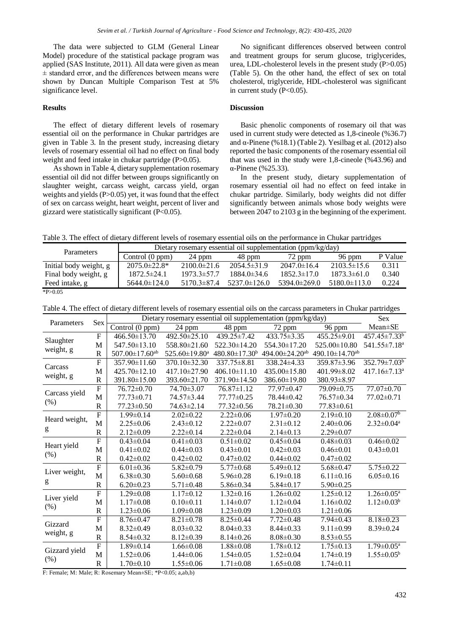The data were subjected to GLM (General Linear Model) procedure of the statistical package program was applied (SAS Institute, 2011). All data were given as mean ± standard error, and the differences between means were shown by Duncan Multiple Comparison Test at 5% significance level.

# **Results**

The effect of dietary different levels of rosemary essential oil on the performance in Chukar partridges are given in Table 3. In the present study, increasing dietary levels of rosemary essential oil had no effect on final body weight and feed intake in chukar partridge (P>0.05).

As shown in Table 4, dietary supplementation rosemary essential oil did not differ between groups significantly on slaughter weight, carcass weight, carcass yield, organ weights and yields (P>0.05) yet, it was found that the effect of sex on carcass weight, heart weight, percent of liver and gizzard were statistically significant  $(P<0.05)$ .

No significant differences observed between control and treatment groups for serum glucose, triglycerides, urea, LDL-cholesterol levels in the present study (P>0.05) (Table 5). On the other hand, the effect of sex on total cholesterol, triglyceride, HDL-cholesterol was significant in current study  $(P<0.05)$ .

# **Discussion**

Basic phenolic components of rosemary oil that was used in current study were detected as 1,8-cineole (%36.7) and α-Pinene (%18.1) (Table 2). Yesilbag et al. (2012) also reported the basic components of the rosemary essential oil that was used in the study were 1,8-cineole (%43.96) and α-Pinene (%25.33).

In the present study, dietary supplementation of rosemary essential oil had no effect on feed intake in chukar partridge. Similarly, body weights did not differ significantly between animals whose body weights were between 2047 to 2103 g in the beginning of the experiment.

Table 3. The effect of dietary different levels of rosemary essential oils on the performance in Chukar partridges

| <b>Parameters</b>      | Dietary rosemary essential oil supplementation (ppm/kg/day) |                   |                    |                    |                    |         |  |
|------------------------|-------------------------------------------------------------|-------------------|--------------------|--------------------|--------------------|---------|--|
|                        | Control (0 ppm)                                             | 24 ppm            | 48 ppm             | 72 ppm             | 96 ppm             | P Value |  |
| Initial body weight, g | $2075.0 \pm 22.8^*$                                         | $2100.0 \pm 21.6$ | $2054.5 \pm 31.9$  | $2047.0 \pm 16.4$  | $2103.5\pm15.6$    | 0.311   |  |
| Final body weight, g   | $1872.5 \pm 24.1$                                           | $1973.3 \pm 57.7$ | $1884.0\pm34.6$    | $1852.3 \pm 17.0$  | $1873.3 \pm 61.0$  | 0.340   |  |
| Feed intake, g         | $5644.0 \pm 124.0$                                          | $5170.3\pm87.4$   | $5237.0 \pm 126.0$ | $5394.0 \pm 269.0$ | $5180.0 \pm 113.0$ | 0.224   |  |
| $*P>0.05$              |                                                             |                   |                    |                    |                    |         |  |

Table 4. The effect of dietary different levels of rosemary essential oils on the carcass parameters in Chukar partridges

| Parameters             | <b>Sex</b>            | Dietary rosemary essential oil supplementation (ppm/kg/day) |                           |                      |                            |                            |                                |
|------------------------|-----------------------|-------------------------------------------------------------|---------------------------|----------------------|----------------------------|----------------------------|--------------------------------|
|                        |                       | Control $(0 ppm)$                                           | 24 ppm                    | 48 ppm               | 72 ppm                     | 96 ppm                     | Mean±SE                        |
| Slaughter<br>weight, g | $\mathbf{F}$          | 466.50±13.70                                                | 492.50±25.10              | 439.25±7.42          | $433.75 \pm 3.35$          | 455.25±9.01                | 457.45±7.33 <sup>b</sup>       |
|                        | M                     | 547.50±13.10                                                | 558.80±21.60              | 522.30±14.20         | 554.30±17.20               | 525.00±10.80               | 541.55±7.18 <sup>a</sup>       |
|                        | $\mathsf R$           | $507.00 \pm 17.60$ <sup>ab</sup>                            | 525.60±19.80 <sup>a</sup> | $480.80 \pm 17.30^b$ | 494.00±24.20 <sup>ab</sup> | 490.10±14.70 <sup>ab</sup> |                                |
|                        | $\mathbf{F}$          | $357.90\pm11.60$                                            | 370.10±32.30              | $337.75 \pm 8.81$    | $338.24 \pm 4.33$          | 359.87±3.96                | $352.79 \pm 7.03^b$            |
| Carcass                | M                     | 425.70±12.10                                                | 417.10±27.90              | $406.10 \pm 11.10$   | 435.00±15.80               | 401.99±8.02                | $417.16 \pm 7.13$ <sup>a</sup> |
| weight, g              | $\mathbf R$           | 391.80±15.00                                                | 393.60±21.70              | 371.90±14.50         | 386.60±19.80               | 380.93±8.97                |                                |
|                        | $\overline{F}$        | 76.72±0.70                                                  | 74.70±3.07                | 76.87±1.12           | 77.97±0.47                 | 79.09±0.75                 | 77.07±0.70                     |
| Carcass yield          | M                     | $77.73 \pm 0.71$                                            | 74.57±3.44                | $77.77 \pm 0.25$     | 78.44±0.42                 | 76.57±0.34                 | $77.02 \pm 0.71$               |
| (% )                   | $\overline{\text{R}}$ | $77.23 \pm 0.50$                                            | 74.63±2.14                | $77.32 \pm 0.56$     | 78.21±0.30                 | $77.83 \pm 0.61$           |                                |
| Heard weight,          | $\overline{F}$        | $1.99 \pm 0.14$                                             | $2.02 \pm 0.22$           | $2.22 \pm 0.06$      | $1.97 \pm 0.20$            | $2.19\pm0.10$              | $2.08 \pm 0.07^b$              |
|                        | M                     | $2.25 \pm 0.06$                                             | $2.43\pm0.12$             | $2.22 \pm 0.07$      | $2.31 \pm 0.12$            | $2.40\pm0.06$              | $2.32 \pm 0.04^a$              |
| g                      | $\mathbb{R}$          | $2.12 \pm 0.09$                                             | $2.22 \pm 0.14$           | $2.22 \pm 0.04$      | $2.14\pm0.13$              | $2.29 \pm 0.07$            |                                |
|                        | $\overline{F}$        | $0.43 \pm 0.04$                                             | $0.41 \pm 0.03$           | $0.51 \pm 0.02$      | $0.45 \pm 0.04$            | $0.48 \pm 0.03$            | $0.46 \pm 0.02$                |
| Heart yield            | M                     | $0.41 \pm 0.02$                                             | $0.44\pm0.03$             | $0.43 \pm 0.01$      | $0.42 \pm 0.03$            | $0.46 \pm 0.01$            | $0.43 \pm 0.01$                |
| (% )                   | $\overline{\text{R}}$ | $0.42 \pm 0.02$                                             | $0.42 \pm 0.02$           | $0.47 \pm 0.02$      | $0.44 \pm 0.02$            | $0.47 \pm 0.02$            |                                |
|                        | $\mathbf{F}$          | $6.01 \pm 0.36$                                             | $5.82 \pm 0.79$           | $5.77 \pm 0.68$      | $5.49\pm0.12$              | $5.68 \pm 0.47$            | $5.75 \pm 0.22$                |
| Liver weight,<br>g     | M                     | $6.38 \pm 0.30$                                             | $5.60 \pm 0.68$           | $5.96 \pm 0.28$      | $6.19 \pm 0.18$            | $6.11 \pm 0.16$            | $6.05 \pm 0.16$                |
|                        | $\mathbf R$           | $6.20 \pm 0.23$                                             | $5.71 \pm 0.48$           | $5.86 \pm 0.34$      | $5.84 \pm 0.17$            | $5.90 \pm 0.25$            |                                |
| Liver yield<br>(% )    | $\overline{F}$        | $1.29 \pm 0.08$                                             | $1.17 \pm 0.12$           | $1.32 \pm 0.16$      | $1.26 \pm 0.02$            | $1.25 \pm 0.12$            | $1.26 \pm 0.05^a$              |
|                        | M                     | $1.17 \pm 0.08$                                             | $0.10 \pm 0.11$           | $1.14 \pm 0.07$      | $1.12\pm0.04$              | $1.16 \pm 0.02$            | $1.12 \pm 0.03^b$              |
|                        | $\mathbb{R}$          | $1.23 \pm 0.06$                                             | $1.09 \pm 0.08$           | $1.23 \pm 0.09$      | $1.20 \pm 0.03$            | $1.21 \pm 0.06$            |                                |
| Gizzard                | F                     | $8.76 \pm 0.47$                                             | $8.21 \pm 0.78$           | $8.25 \pm 0.44$      | $7.72 \pm 0.48$            | $7.94 \pm 0.43$            | $8.18 \pm 0.23$                |
| weight, g              | M                     | $8.32 \pm 0.49$                                             | $8.03 \pm 0.32$           | $8.04 \pm 0.33$      | $8.44 \pm 0.33$            | $9.11 \pm 0.99$            | $8.39 \pm 0.24$                |
|                        | $\mathbb{R}$          | $8.54 \pm 0.32$                                             | $8.12 \pm 0.39$           | $8.14 \pm 0.26$      | $8.08 \pm 0.30$            | $8.53 \pm 0.55$            |                                |
| Gizzard yield<br>(% )  | $\overline{F}$        | $1.89 \pm 0.14$                                             | $1.66 \pm 0.08$           | $1.88 \pm 0.08$      | $1.78 \pm 0.12$            | $1.75 \pm 0.13$            | $1.79 \pm 0.05^{\text{a}}$     |
|                        | M                     | $1.52 \pm 0.06$                                             | $1.44 \pm 0.06$           | $1.54 \pm 0.05$      | $1.52 \pm 0.04$            | $1.74 \pm 0.19$            | $1.55 \pm 0.05^b$              |
|                        | $\overline{\text{R}}$ | $1.70 \pm 0.10$                                             | $1.55 \pm 0.06$           | $1.71 \pm 0.08$      | $1.65 \pm 0.08$            | $1.74 \pm 0.11$            |                                |

F: Female; M: Male; R: Rosemary Mean±SE; \*P<0.05; a,ab,b)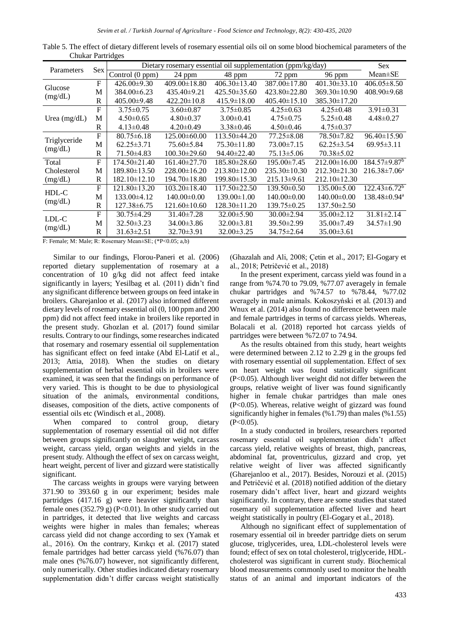| Parameters              |              | Dietary rosemary essential oil supplementation (ppm/kg/day) |                    |                    |                    |                    |                          |
|-------------------------|--------------|-------------------------------------------------------------|--------------------|--------------------|--------------------|--------------------|--------------------------|
|                         | <b>Sex</b>   | Control (0 ppm)                                             | 24 ppm             | 48 ppm             | 72 ppm             | 96 ppm             | $Mean \pm SE$            |
| Glucose<br>(mg/dL)      | $\mathbf{F}$ | $426.00 \pm 9.30$                                           | $409.00 \pm 18.80$ | $406.30 \pm 13.40$ | 387.00±17.80       | $401.30 \pm 33.10$ | $406.05 \pm 8.50$        |
|                         | M            | 384.00±6.23                                                 | $435.40 \pm 9.21$  | $425.50\pm35.60$   | $423.80 \pm 22.80$ | 369.30±10.90       | $408.90\pm9.68$          |
|                         | R            | $405.00\pm9.48$                                             | $422.20 \pm 10.8$  | $415.9 \pm 18.00$  | $405.40 \pm 15.10$ | 385.30±17.20       |                          |
|                         | $\mathbf{F}$ | $3.75 \pm 0.75$                                             | $3.60 \pm 0.87$    | $3.75 \pm 0.85$    | $4.25 \pm 0.63$    | $4.25 \pm 0.48$    | $3.91 \pm 0.31$          |
| Urea $(mg/dL)$          | М            | $4.50 \pm 0.65$                                             | $4.80 \pm 0.37$    | $3.00 \pm 0.41$    | $4.75 \pm 0.75$    | $5.25 \pm 0.48$    | $4.48 \pm 0.27$          |
|                         | R            | $4.13 \pm 0.48$                                             | $4.20 \pm 0.49$    | $3.38 \pm 0.46$    | $4.50 \pm 0.46$    | $4.75 \pm 0.37$    |                          |
| Triglyceride<br>(mg/dL) | $F_{\rm}$    | $80.75 \pm 6.18$                                            | 125.00±60.00       | 113.50±44.20       | 77.25 ± 8.08       | 78.50±7.82         | 96.40±15.90              |
|                         | М            | $62.25 \pm 3.71$                                            | $75.60\pm5.84$     | $75.30 \pm 11.80$  | $73.00 \pm 7.15$   | $62.25 \pm 3.54$   | $69.95 \pm 3.11$         |
|                         | R            | 71.50±4.83                                                  | $100.30 \pm 29.60$ | 94.40±22.40        | $75.13 \pm 5.06$   | $70.38 \pm 5.02$   |                          |
| Total                   | $\mathbf{F}$ | 174.50±21.40                                                | $161.40\pm27.70$   | 185.80±28.60       | 195.00±7.45        | 212.00±16.00       | $184.57 \pm 9.87^b$      |
| Cholesterol             | M            | 189.80±13.50                                                | $228.00\pm16.20$   | 213.80±12.00       | $235.30 \pm 10.30$ | 212.30±21.30       | $216.38 \pm 7.06^a$      |
| (mg/dL)                 | R            | $182.10 \pm 12.10$                                          | $194.70 \pm 18.80$ | 199.80±15.30       | $215.13\pm9.61$    | $212.10 \pm 12.30$ |                          |
| HDL-C<br>(mg/dL)        | $\mathbf{F}$ | $121.80 \pm 13.20$                                          | $103.20 \pm 18.40$ | $117.50 \pm 22.50$ | $139.50\pm0.50$    | $135.00\pm5.00$    | $122.43 \pm 6.72^b$      |
|                         | M            | $133.00\pm4.12$                                             | $140.00 \pm 0.00$  | $139.00 \pm 1.00$  | $140.00\pm0.00$    | $140.00\pm0.00$    | 138.48±0.94 <sup>a</sup> |
|                         | R            | 127.38±6.75                                                 | $121.60 \pm 10.60$ | 128.30±11.20       | 139.75±0.25        | $137.50 \pm 2.50$  |                          |
| LDL-C<br>(mg/dL)        | $\mathbf{F}$ | $30.75 \pm 4.29$                                            | $31.40 \pm 7.28$   | $32.00 \pm 5.90$   | $30.00 \pm 2.94$   | 35.00±2.12         | $31.81 \pm 2.14$         |
|                         | M            | $32.50 \pm 3.23$                                            | $34.00\pm3.86$     | $32.00 \pm 3.81$   | $39.50 \pm 2.99$   | 35.00±7.49         | 34.57±1.90               |
|                         | R            | $31.63 \pm 2.51$                                            | $32.70 \pm 3.91$   | $32.00 \pm 3.25$   | $34.75 \pm 2.64$   | $35.00\pm3.61$     |                          |

Table 5. The effect of dietary different levels of rosemary essential oils oil on some blood biochemical parameters of the Chukar Partridges

F: Female; M: Male; R: Rosemary Mean±SE; (\*P<0.05; a,b)

Similar to our findings, Florou-Paneri et al. (2006) reported dietary supplementation of rosemary at a concentration of 10 g/kg did not affect feed intake significantly in layers; Yesilbag et al. (2011) didn't find any significant difference between groups on feed intake in broilers. Gharejanloo et al. (2017) also informed different dietary levels of rosemary essential oil (0, 100 ppm and 200 ppm) did not affect feed intake in broilers like reported in the present study. Ghozlan et al*.* (2017) found similar results. Contrary to our findings, some researches indicated that rosemary and rosemary essential oil supplementation has significant effect on feed intake (Abd El-Latif et al., 2013; Attia, 2018). When the studies on dietary supplementation of herbal essential oils in broilers were examined, it was seen that the findings on performance of very varied. This is thought to be due to physiological situation of the animals, environmental conditions, diseases, composition of the diets, active components of essential oils etc (Windisch et al., 2008).

When compared to control group, dietary supplementation of rosemary essential oil did not differ between groups significantly on slaughter weight, carcass weight, carcass yield, organ weights and yields in the present study. Although the effect of sex on carcass weight, heart weight, percent of liver and gizzard were statistically significant.

The carcass weights in groups were varying between 371.90 to 393.60 g in our experiment; besides male partridges (417.16 g) were heavier significantly than female ones  $(352.79 \text{ g})$  (P<0.01). In other study carried out in partridges, it detected that live weights and carcass weights were higher in males than females; whereas carcass yield did not change according to sex (Yamak et al., 2016). On the contrary, Kırıkçı et al. (2017) stated female partridges had better carcass yield (%76.07) than male ones (%76.07) however, not significantly different, only numerically. Other studies indicated dietary rosemary supplementation didn't differ carcass weight statistically

(Ghazalah and Ali, 2008; Çetin et al., 2017; El-Gogary et al., 2018; Petričević et al., 2018)

In the present experiment, carcass yield was found in a range from %74.70 to 79.09, %77.07 averagely in female chukar partridges and %74.57 to %78.44, %77.02 averagely in male animals. Kokoszyński et al. (2013) and Wnux et al. (2014) also found no difference between male and female partridges in terms of carcass yields. Whereas, Bolacali et al. (2018) reported hot carcass yields of partridges were between %72.07 to 74.94.

As the results obtained from this study, heart weights were determined between 2.12 to 2.29 g in the groups fed with rosemary essential oil supplementation. Effect of sex on heart weight was found statistically significant (P<0.05). Although liver weight did not differ between the groups, relative weight of liver was found significantly higher in female chukar partridges than male ones (P<0.05). Whereas, relative weight of gizzard was found significantly higher in females (%1.79) than males (%1.55)  $(P<0.05)$ .

In a study conducted in broilers, researchers reported rosemary essential oil supplementation didn't affect carcass yield, relative weights of breast, thigh, pancreas, abdominal fat, proventriculus, gizzard and crop, yet relative weight of liver was affected significantly (Gharejanloo et al., 2017). Besides, Norouzi et al. (2015) and Petričević et al. (2018) notified addition of the dietary rosemary didn't affect liver, heart and gizzard weights significantly. In contrary, there are some studies that stated rosemary oil supplementation affected liver and heart weight statistically in poultry (El-Gogary et al., 2018).

Although no significant effect of supplementation of rosemary essential oil in breeder partridge diets on serum glucose, triglycerides, urea, LDL-cholesterol levels were found; effect of sex on total cholesterol, triglyceride, HDLcholesterol was significant in current study. Biochemical blood measurements commonly used to monitor the health status of an animal and important indicators of the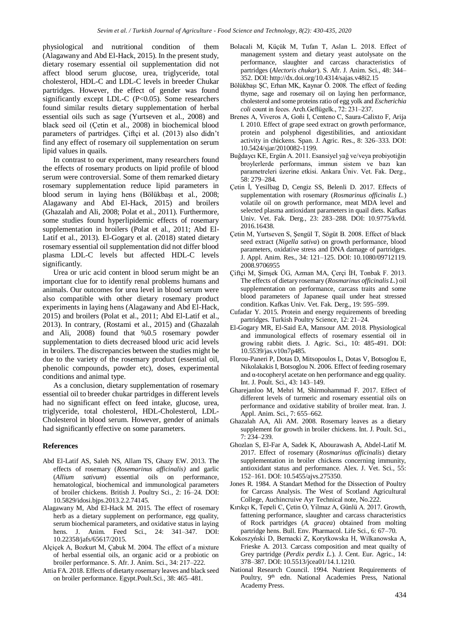physiological and nutritional condition of them (Alagawany and Abd El-Hack, 2015). In the present study, dietary rosemary essential oil supplementation did not affect blood serum glucose, urea, triglyceride, total cholesterol, HDL-C and LDL-C levels in breeder Chukar partridges. However, the effect of gender was found significantly except LDL-C (P<0.05). Some researchers found similar results dietary supplementation of herbal essential oils such as sage (Yurtseven et al., 2008) and black seed oil (Çetin et al., 2008) in biochemical blood parameters of partridges. Çiftçi et al. (2013) also didn't find any effect of rosemary oil supplementation on serum lipid values in quails.

In contrast to our experiment, many researchers found the effects of rosemary products on lipid profile of blood serum were controversial. Some of them remarked dietary rosemary supplementation reduce lipid parameters in blood serum in laying hens (Bölükbaşı et al., 2008; Alagawany and Abd El-Hack, 2015) and broilers (Ghazalah and Ali, 2008; Polat et al., 2011). Furthermore, some studies found hyperlipidemic effects of rosemary supplementation in broilers (Polat et al., 2011; Abd El-Latif et al., 2013). El-Gogary et al. (2018) stated dietary rosemary essential oil supplementation did not differ blood plasma LDL-C levels but affected HDL-C levels significantly.

Urea or uric acid content in blood serum might be an important clue for to identify renal problems humans and animals. Our outcomes for urea level in blood serum were also compatible with other dietary rosemary product experiments in laying hens (Alagawany and Abd El-Hack, 2015) and broilers (Polat et al., 2011; Abd El-Latif et al., 2013). In contrary, (Rostami et al., 2015) and (Ghazalah and Ali, 2008) found that %0.5 rosemary powder supplementation to diets decreased blood uric acid levels in broilers. The discrepancies between the studies might be due to the variety of the rosemary product (essential oil, phenolic compounds, powder etc), doses, experimental conditions and animal type.

As a conclusion, dietary supplementation of rosemary essential oil to breeder chukar partridges in different levels had no significant effect on feed intake, glucose, urea, triglyceride, total cholesterol, HDL-Cholesterol, LDL-Cholesterol in blood serum. However, gender of animals had significantly effective on some parameters.

# **References**

- Abd El-Latif AS, Saleh NS, Allam TS, Ghazy EW. 2013. The effects of rosemary (*Rosemarinus afficinalis)* and garlic (*Allium sativum*) essential oils hematological, biochemical and immunological parameters of broiler chickens. British J. Poultry Sci., 2: 16–24. DOI: 10.5829/idosi.bjps.2013.2.2.74145.
- Alagawany M, Abd El-Hack M. 2015. The effect of rosemary herb as a dietary supplement on performance, egg quality, serum biochemical parameters, and oxidative status in laying hens. J. Anim. Feed Sci., 24: 341–347. DOI: 10.22358/jafs/65617/2015.
- Alçiçek A, Bozkurt M, Çabuk M. 2004. The effect of a mixture of herbal essential oils, an organic acid or a probiotic on broiler performance. S. Afr. J. Anim. Sci., 34: 217–222.
- Attia FA. 2018. Effects of dietarty rosemary leaves and black seed on broiler performance. Egypt.Poult.Sci., 38: 465–481.
- Bolacali M, Küçük M, Tufan T, Aslan L. 2018. Effect of management system and dietary yeast autolysate on the performance, slaughter and carcass characteristics of partridges (*Alectoris chukar*). S. Afr. J. Anim. Sci., 48: 344– 352. DOI: http://dx.doi.org/10.4314/sajas.v48i2.15
- Bölükbaşı ŞC, Erhan MK, Kaynar Ö. 2008. The effect of feeding thyme, sage and rosemary oil on laying hen performance, cholesterol and some proteins ratio of egg yolk and *Escherichia coli* count in feces. Arch.Geflügelk., 72: 231–237.
- Brenes A, Viveros A, Goñi I, Centeno C, Saura-Calixto F, Arija I. 2010. Effect of grape seed extract on growth performance, protein and polyphenol digestibilities, and antioxidant activity in chickens. Span. J. Agric. Res., 8: 326–333. DOI: 10.5424/sjar/2010082-1199.
- Buğdaycı KE, Ergün A. 2011. Esansiyel yağ ve/veya probiyotiğin broylerlerde performans, immun sistem ve bazı kan parametreleri üzerine etkisi. Ankara Üniv. Vet. Fak. Derg., 58: 279–284.
- Çetin İ, Yesilbag D, Cengiz SS, Belenli D. 2017. Effects of supplementation with rosemary (*Rosmarinus officinalis L.*) volatile oil on growth performance, meat MDA level and selected plasma antioxidant parameters in quail diets. Kafkas Univ. Vet. Fak. Derg., 23: 283–288. DOI: 10.9775/kvfd. 2016.16438.
- Çetin M, Yurtseven S, Şengül T, Sögüt B. 2008. Effect of black seed extract (*Nigella sativa*) on growth performance, blood parameters, oxidative stress and DNA damage of partridges. J. Appl. Anim. Res., 34: 121–125. DOI: 10.1080/09712119. 2008.9706955
- Çiftçi M, Şimşek ÜG, Azman MA, Çerçi İH, Tonbak F. 2013. The effects of dietary rosemary (*Rosmarinus officinalis L.*) oil supplementation on performance, carcass traits and some blood parameters of Japanese quail under heat stressed condition. Kafkas Univ. Vet. Fak. Derg., 19: 595–599.
- Cufadar Y. 2015. Protein and energy requirements of breeding partridges. Turkish Poultry Science, 12: 21–24.
- El-Gogary MR, El-Said EA, Mansour AM. 2018. Physiological and immunological effects of rosemary essential oil in growing rabbit diets. J. Agric. Sci., 10: 485-491. DOI: 10.5539/jas.v10n7p485.
- Florou-Paneri P, Dotas D, Mitsopoulos L, Dotas V, Botsoglou E, Nikolakakis I, Botsoglou N. 2006. Effect of feeding rosemary and α-tocopheryl acetate on hen performance and egg quality. Int. J. Poult. Sci., 43: 143–149.
- Gharejanloo M, Mehri M, Shirmohammad F. 2017. Effect of different levels of turmeric and rosemary essential oils on performance and oxidative stability of broiler meat. Iran. J. Appl. Anim. Sci., 7: 655–662.
- Ghazalah AA, Ali AM. 2008. Rosemary leaves as a dietary supplement for growth in broiler chickens. Int. J. Poult. Sci., 7: 234–239.
- Ghozlan S, El-Far A, Sadek K, Abourawash A, Abdel-Latif M. 2017. Effect of rosemary (*Rosmarinus officinalis*) dietary supplementation in broiler chickens concerning immunity, antioxidant status and performance. Alex. J. Vet. Sci., 55: 152–161. DOI: 10.5455/ajvs.275350.
- Jones R. 1984. A Standart Method for the Dissection of Poultry for Carcass Analysis. The West of Scotland Agricultural College, Auchincruive Ayr Technical note, No.222.
- Kırıkçı K, Tepelı̇ C, Çetı̇n O, Yilmaz A, Günlü A. 2017. Growth, fattening performance, slaughter and carcass characteristics of Rock partridges (*A. gracea*) obtained from molting partridge hens. Bull. Env. Pharmacol. Life Sci., 6: 67–70.
- Kokoszyński D, Bernacki Z, Korytkowska H, Wilkanowska A, Frieske A. 2013. Carcass composition and meat quailty of Grey partridge (*Perdix perdix L.*). J. Cent. Eur. Agric., 14: 378–387. DOI: 10.5513/jcea01/14.1.1210.
- National Research Council. 1994. Nutrient Requirements of Poultry, 9<sup>th</sup> edn. National Academies Press, National Academy Press.